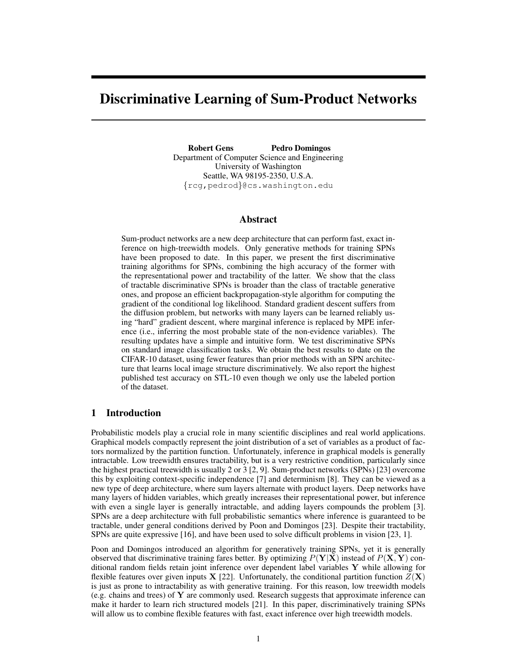# Discriminative Learning of Sum-Product Networks

Robert Gens Pedro Domingos Department of Computer Science and Engineering University of Washington Seattle, WA 98195-2350, U.S.A. {rcg,pedrod}@cs.washington.edu

# Abstract

Sum-product networks are a new deep architecture that can perform fast, exact inference on high-treewidth models. Only generative methods for training SPNs have been proposed to date. In this paper, we present the first discriminative training algorithms for SPNs, combining the high accuracy of the former with the representational power and tractability of the latter. We show that the class of tractable discriminative SPNs is broader than the class of tractable generative ones, and propose an efficient backpropagation-style algorithm for computing the gradient of the conditional log likelihood. Standard gradient descent suffers from the diffusion problem, but networks with many layers can be learned reliably using "hard" gradient descent, where marginal inference is replaced by MPE inference (i.e., inferring the most probable state of the non-evidence variables). The resulting updates have a simple and intuitive form. We test discriminative SPNs on standard image classification tasks. We obtain the best results to date on the CIFAR-10 dataset, using fewer features than prior methods with an SPN architecture that learns local image structure discriminatively. We also report the highest published test accuracy on STL-10 even though we only use the labeled portion of the dataset.

# 1 Introduction

Probabilistic models play a crucial role in many scientific disciplines and real world applications. Graphical models compactly represent the joint distribution of a set of variables as a product of factors normalized by the partition function. Unfortunately, inference in graphical models is generally intractable. Low treewidth ensures tractability, but is a very restrictive condition, particularly since the highest practical treewidth is usually 2 or 3 [2, 9]. Sum-product networks (SPNs) [23] overcome this by exploiting context-specific independence [7] and determinism [8]. They can be viewed as a new type of deep architecture, where sum layers alternate with product layers. Deep networks have many layers of hidden variables, which greatly increases their representational power, but inference with even a single layer is generally intractable, and adding layers compounds the problem [3]. SPNs are a deep architecture with full probabilistic semantics where inference is guaranteed to be tractable, under general conditions derived by Poon and Domingos [23]. Despite their tractability, SPNs are quite expressive [16], and have been used to solve difficult problems in vision [23, 1].

Poon and Domingos introduced an algorithm for generatively training SPNs, yet it is generally observed that discriminative training fares better. By optimizing  $P(Y|X)$  instead of  $P(X, Y)$  conditional random fields retain joint inference over dependent label variables  $Y$  while allowing for flexible features over given inputs  $X$  [22]. Unfortunately, the conditional partition function  $Z(X)$ is just as prone to intractability as with generative training. For this reason, low treewidth models (e.g. chains and trees) of Y are commonly used. Research suggests that approximate inference can make it harder to learn rich structured models [21]. In this paper, discriminatively training SPNs will allow us to combine flexible features with fast, exact inference over high treewidth models.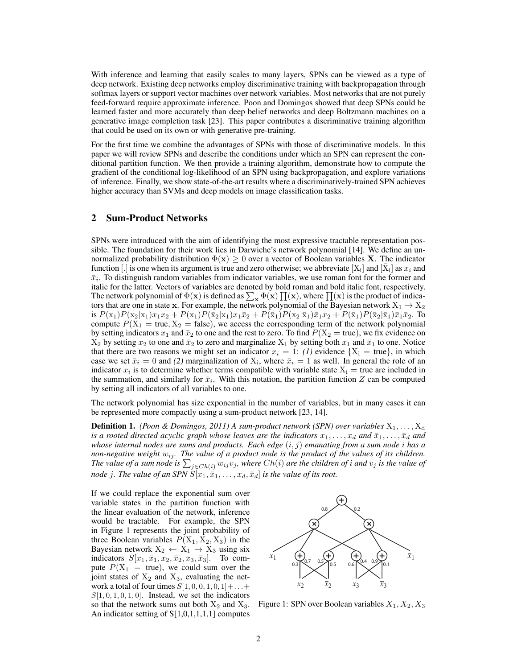With inference and learning that easily scales to many layers, SPNs can be viewed as a type of deep network. Existing deep networks employ discriminative training with backpropagation through softmax layers or support vector machines over network variables. Most networks that are not purely feed-forward require approximate inference. Poon and Domingos showed that deep SPNs could be learned faster and more accurately than deep belief networks and deep Boltzmann machines on a generative image completion task [23]. This paper contributes a discriminative training algorithm that could be used on its own or with generative pre-training.

For the first time we combine the advantages of SPNs with those of discriminative models. In this paper we will review SPNs and describe the conditions under which an SPN can represent the conditional partition function. We then provide a training algorithm, demonstrate how to compute the gradient of the conditional log-likelihood of an SPN using backpropagation, and explore variations of inference. Finally, we show state-of-the-art results where a discriminatively-trained SPN achieves higher accuracy than SVMs and deep models on image classification tasks.

# 2 Sum-Product Networks

SPNs were introduced with the aim of identifying the most expressive tractable representation possible. The foundation for their work lies in Darwiche's network polynomial [14]. We define an unnormalized probability distribution  $\Phi(\mathbf{x}) \geq 0$  over a vector of Boolean variables **X**. The indicator function [.] is one when its argument is true and zero otherwise; we abbreviate [X<sub>i</sub>] and [ $\bar{X}_i$ ] as  $x_i$  and  $\bar{x}_i$ . To distinguish random variables from indicator variables, we use roman font for the former and italic for the latter. Vectors of variables are denoted by bold roman and bold italic font, respectively. The network polynomial of  $\Phi(\mathbf{x})$  is defined as  $\sum_{\mathbf{x}} \Phi(\mathbf{x}) \prod(\mathbf{x})$ , where  $\prod(\mathbf{x})$  is the product of indicators that are one in state x. For example, the network polynomial of the Bayesian network  $X_1 \rightarrow X_2$ is  $P(\mathbf{x}_1)P(\mathbf{x}_2|\mathbf{x}_1)x_1x_2 + P(\mathbf{x}_1)P(\bar{\mathbf{x}}_2|\mathbf{x}_1)x_1\bar{x}_2 + P(\bar{\mathbf{x}}_1)P(\mathbf{x}_2|\bar{\mathbf{x}}_1)\bar{x}_1x_2 + P(\bar{\mathbf{x}}_1)P(\bar{\mathbf{x}}_2|\bar{\mathbf{x}}_1)\bar{x}_1\bar{x}_2.$  To compute  $P(X_1 = true, X_2 = false)$ , we access the corresponding term of the network polynomial by setting indicators  $x_1$  and  $\bar{x}_2$  to one and the rest to zero. To find  $P(X_2 = true)$ , we fix evidence on  $X_2$  by setting  $x_2$  to one and  $\bar{x}_2$  to zero and marginalize  $X_1$  by setting both  $x_1$  and  $\bar{x}_1$  to one. Notice that there are two reasons we might set an indicator  $x_i = 1$ : *(1)* evidence  $\{X_i = true\}$ , in which case we set  $\bar{x}_i = 0$  and (2) marginalization of  $X_i$ , where  $\bar{x}_i = 1$  as well. In general the role of an indicator  $x_i$  is to determine whether terms compatible with variable state  $X_i$  = true are included in the summation, and similarly for  $\bar{x}_i$ . With this notation, the partition function Z can be computed by setting all indicators of all variables to one.

The network polynomial has size exponential in the number of variables, but in many cases it can be represented more compactly using a sum-product network [23, 14].

**Definition 1.** *(Poon & Domingos, 2011) A sum-product network (SPN) over variables*  $X_1, \ldots, X_d$ *is a rooted directed acyclic graph whose leaves are the indicators*  $x_1, \ldots, x_d$  *and*  $\bar{x}_1, \ldots, \bar{x}_d$  *and whose internal nodes are sums and products. Each edge* (i, j) *emanating from a sum node* i *has a non-negative weight*  $w_{ij}$ *. The value of a product node is the product of the values of its children. The value of a sum node is*  $\sum_{j \in Ch(i)} w_{ij} v_j$ , where  $Ch(i)$  are the children of *i* and  $v_j$  *is the value of node* j. The value of an SPN  $S[x_1, \bar{x}_1, \ldots, x_d, \bar{x}_d]$  is the value of its root.

If we could replace the exponential sum over variable states in the partition function with the linear evaluation of the network, inference would be tractable. For example, the SPN in Figure 1 represents the joint probability of three Boolean variables  $P(X_1, X_2, X_3)$  in the Bayesian network  $X_2 \leftarrow X_1 \rightarrow X_3$  using six indicators  $S[x_1, \bar{x}_1, x_2, \bar{x}_2, x_3, \bar{x}_3]$ . To compute  $P(X_1 = true)$ , we could sum over the joint states of  $X_2$  and  $X_3$ , evaluating the network a total of four times  $S[1, 0, 0, 1, 0, 1]+\ldots+$  $S[1, 0, 1, 0, 1, 0]$ . Instead, we set the indicators so that the network sums out both  $X_2$  and  $X_3$ . An indicator setting of S[1,0,1,1,1,1] computes



Figure 1: SPN over Boolean variables  $X_1, X_2, X_3$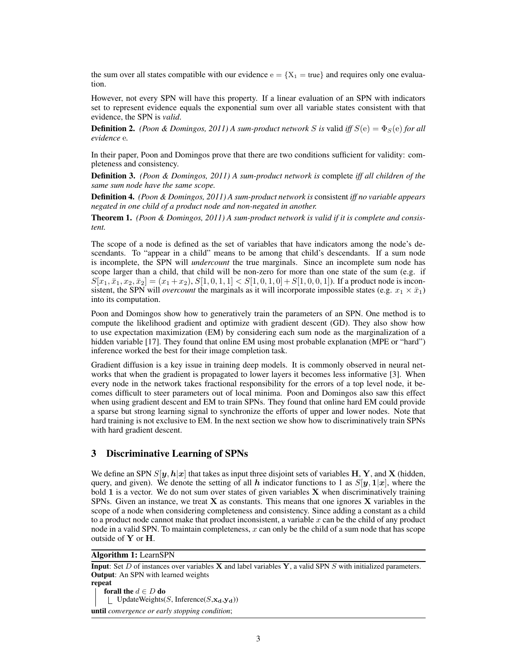the sum over all states compatible with our evidence  $e = \{X_1 = true\}$  and requires only one evaluation.

However, not every SPN will have this property. If a linear evaluation of an SPN with indicators set to represent evidence equals the exponential sum over all variable states consistent with that evidence, the SPN is *valid*.

**Definition 2.** *(Poon & Domingos, 2011) A sum-product network* S *is* valid *iff*  $S(e) = \Phi_S(e)$  *for all evidence* e*.*

In their paper, Poon and Domingos prove that there are two conditions sufficient for validity: completeness and consistency.

Definition 3. *(Poon & Domingos, 2011) A sum-product network is* complete *iff all children of the same sum node have the same scope.*

Definition 4. *(Poon & Domingos, 2011) A sum-product network is* consistent *iff no variable appears negated in one child of a product node and non-negated in another.*

Theorem 1. *(Poon & Domingos, 2011) A sum-product network is valid if it is complete and consistent.*

The scope of a node is defined as the set of variables that have indicators among the node's descendants. To "appear in a child" means to be among that child's descendants. If a sum node is incomplete, the SPN will *undercount* the true marginals. Since an incomplete sum node has scope larger than a child, that child will be non-zero for more than one state of the sum (e.g. if  $S[x_1, \bar{x}_1, x_2, \bar{x}_2] = (x_1 + x_2), S[1, 0, 1, 1] < S[1, 0, 1, 0] + S[1, 0, 0, 1]$ . If a product node is inconsistent, the SPN will *overcount* the marginals as it will incorporate impossible states (e.g.  $x_1 \times \bar{x}_1$ ) into its computation.

Poon and Domingos show how to generatively train the parameters of an SPN. One method is to compute the likelihood gradient and optimize with gradient descent (GD). They also show how to use expectation maximization (EM) by considering each sum node as the marginalization of a hidden variable [17]. They found that online EM using most probable explanation (MPE or "hard") inference worked the best for their image completion task.

Gradient diffusion is a key issue in training deep models. It is commonly observed in neural networks that when the gradient is propagated to lower layers it becomes less informative [3]. When every node in the network takes fractional responsibility for the errors of a top level node, it becomes difficult to steer parameters out of local minima. Poon and Domingos also saw this effect when using gradient descent and EM to train SPNs. They found that online hard EM could provide a sparse but strong learning signal to synchronize the efforts of upper and lower nodes. Note that hard training is not exclusive to EM. In the next section we show how to discriminatively train SPNs with hard gradient descent.

## 3 Discriminative Learning of SPNs

We define an SPN  $S[y, h|x]$  that takes as input three disjoint sets of variables H, Y, and X (hidden, query, and given). We denote the setting of all h indicator functions to 1 as  $S[y, 1|x]$ , where the bold 1 is a vector. We do not sum over states of given variables X when discriminatively training SPNs. Given an instance, we treat  $X$  as constants. This means that one ignores  $X$  variables in the scope of a node when considering completeness and consistency. Since adding a constant as a child to a product node cannot make that product inconsistent, a variable  $x$  can be the child of any product node in a valid SPN. To maintain completeness,  $x$  can only be the child of a sum node that has scope outside of Y or H.

Algorithm 1: LearnSPN

**Input:** Set D of instances over variables **X** and label variables **Y**, a valid SPN S with initialized parameters. Output: An SPN with learned weights repeat forall the  $d \in D$  do | UpdateWeights(S, Inference( $S$ , $\mathbf{x_d}$ , $\mathbf{y_d}$ )) until *convergence or early stopping condition*;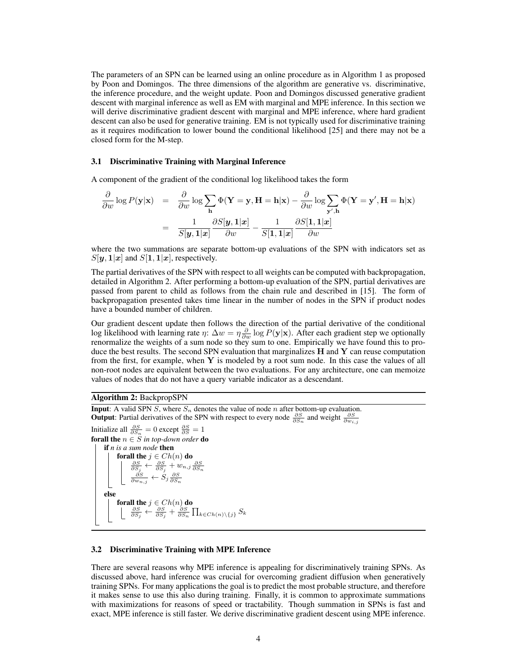The parameters of an SPN can be learned using an online procedure as in Algorithm 1 as proposed by Poon and Domingos. The three dimensions of the algorithm are generative vs. discriminative, the inference procedure, and the weight update. Poon and Domingos discussed generative gradient descent with marginal inference as well as EM with marginal and MPE inference. In this section we will derive discriminative gradient descent with marginal and MPE inference, where hard gradient descent can also be used for generative training. EM is not typically used for discriminative training as it requires modification to lower bound the conditional likelihood [25] and there may not be a closed form for the M-step.

#### 3.1 Discriminative Training with Marginal Inference

A component of the gradient of the conditional log likelihood takes the form

$$
\frac{\partial}{\partial w} \log P(\mathbf{y}|\mathbf{x}) = \frac{\partial}{\partial w} \log \sum_{\mathbf{h}} \Phi(\mathbf{Y} = \mathbf{y}, \mathbf{H} = \mathbf{h}|\mathbf{x}) - \frac{\partial}{\partial w} \log \sum_{\mathbf{y}', \mathbf{h}} \Phi(\mathbf{Y} = \mathbf{y}', \mathbf{H} = \mathbf{h}|\mathbf{x})
$$

$$
= \frac{1}{S[\mathbf{y}, \mathbf{1}|\mathbf{x}]} \frac{\partial S[\mathbf{y}, \mathbf{1}|\mathbf{x}]}{\partial w} - \frac{1}{S[\mathbf{1}, \mathbf{1}|\mathbf{x}]} \frac{\partial S[\mathbf{1}, \mathbf{1}|\mathbf{x}]}{\partial w}
$$

where the two summations are separate bottom-up evaluations of the SPN with indicators set as  $S[\mathbf{y}, \mathbf{1}|\mathbf{x}]$  and  $S[\mathbf{1}, \mathbf{1}|\mathbf{x}]$ , respectively.

The partial derivatives of the SPN with respect to all weights can be computed with backpropagation, detailed in Algorithm 2. After performing a bottom-up evaluation of the SPN, partial derivatives are passed from parent to child as follows from the chain rule and described in [15]. The form of backpropagation presented takes time linear in the number of nodes in the SPN if product nodes have a bounded number of children.

Our gradient descent update then follows the direction of the partial derivative of the conditional log likelihood with learning rate  $\eta$ :  $\Delta w = \eta \frac{\partial}{\partial w} \log P(\mathbf{y}|\mathbf{x})$ . After each gradient step we optionally renormalize the weights of a sum node so they sum to one. Empirically we have found this to produce the best results. The second SPN evaluation that marginalizes  $H$  and  $Y$  can reuse computation from the first, for example, when  $Y$  is modeled by a root sum node. In this case the values of all non-root nodes are equivalent between the two evaluations. For any architecture, one can memoize values of nodes that do not have a query variable indicator as a descendant.

#### Algorithm 2: BackpropSPN

**Input**: A valid SPN  $S$ , where  $S_n$  denotes the value of node  $n$  after bottom-up evaluation. **Output:** Partial derivatives of the SPN with respect to every node  $\frac{\partial S}{\partial S_n}$  and weight  $\frac{\partial S}{\partial w_{i,j}}$ Initialize all  $\frac{\partial S}{\partial S_n} = 0$  except  $\frac{\partial S}{\partial S} = 1$ **forall the**  $n \in S$  *in top-down order* **do** if *n is a sum node* then forall the  $j \in Ch(n)$  do<br>  $\begin{array}{c}\n\frac{\partial S}{\partial S_j} \leftarrow \frac{\partial S}{\partial S_j} + w_{n,j} \frac{\partial S}{\partial S_n} \\
\frac{\partial S}{\partial w_{n,j}} \leftarrow S_j \frac{\partial S}{\partial S_n}\n\end{array}$ else **forall the**  $j \in Ch(n)$  **do**<br>  $\begin{array}{c} \n\frac{\partial S}{\partial S_j} \leftarrow \frac{\partial S}{\partial S_j} + \frac{\partial S}{\partial S_n} \prod_{k \in Ch(n) \setminus \{j\}} S_k\n\end{array}$ 

#### 3.2 Discriminative Training with MPE Inference

There are several reasons why MPE inference is appealing for discriminatively training SPNs. As discussed above, hard inference was crucial for overcoming gradient diffusion when generatively training SPNs. For many applications the goal is to predict the most probable structure, and therefore it makes sense to use this also during training. Finally, it is common to approximate summations with maximizations for reasons of speed or tractability. Though summation in SPNs is fast and exact, MPE inference is still faster. We derive discriminative gradient descent using MPE inference.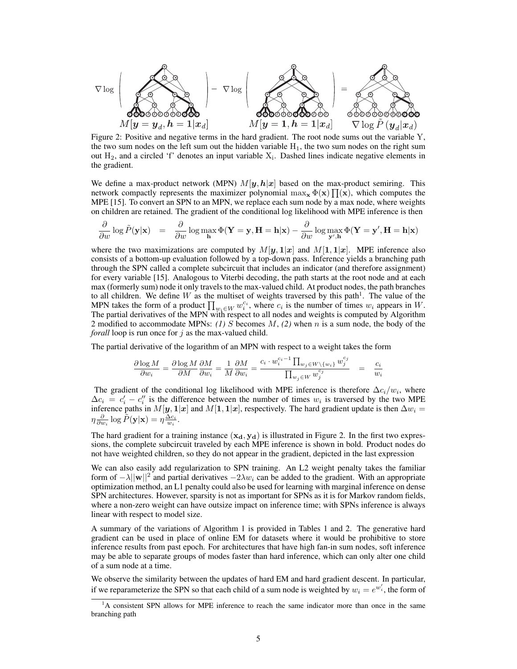$$
\nabla \log \left( \sum_{\substack{M|\mathbf{y}=\mathbf{y}_d, \mathbf{h}=1|\mathbf{x}_d}} \neg \nabla \log \left( \sum_{\substack{M|\mathbf{y}=1, \mathbf{h}=1|\mathbf{x}_d}} \neg \log \left( \sum_{\substack{M|\mathbf{y}=1, \mathbf{h}=1|\mathbf{x}_d}} \neg \log \left( \sum_{\substack{M|\mathbf{y}=1, \mathbf{h}=1|\mathbf{x}_d}} \neg \log \left( \sum_{\substack{M|\mathbf{y}=1, \mathbf{h}=1|\mathbf{x}_d}} \neg \log \left( \sum_{\substack{M|\mathbf{y}=1, \mathbf{h}=1|\mathbf{x}_d}} \neg \log \left( \sum_{\substack{M|\mathbf{y}=1, \mathbf{h}=1}} \neg \log \left( \sum_{\substack{M|\mathbf{y}=1, \mathbf{h}=1}} \neg \log \left( \sum_{\substack{M|\mathbf{y}=1, \mathbf{h}=1}} \neg \log \left( \sum_{\substack{M|\mathbf{y}=1, \mathbf{h}=1}} \neg \log \left( \sum_{\substack{M|\mathbf{y}=1, \mathbf{h}=1}} \neg \log \left( \sum_{\substack{M|\mathbf{y}=1, \mathbf{h}=1}} \neg \log \left( \sum_{\substack{M|\mathbf{y}=1, \mathbf{h}=1}} \neg \log \left( \sum_{\substack{M|\mathbf{y}=1, \mathbf{h}=1}} \neg \log \left( \sum_{\substack{M|\mathbf{y}=1, \mathbf{h}=1}} \neg \log \left( \sum_{\substack{M|\mathbf{y}=1, \mathbf{h}=1}} \neg \log \left( \sum_{\substack{M|\mathbf{y}=1, \mathbf{h}=1}} \neg \log \left( \sum_{\substack{M|\mathbf{y}=1, \mathbf{h}=1}} \neg \log \left( \sum_{\substack{M|\mathbf{y}=1, \mathbf{h}=1}} \neg \log \left( \sum_{\substack{M|\mathbf{y}=1, \mathbf{h}=1}} \neg \log \left( \sum_{\substack{M|\mathbf{y}=1, \mathbf{h}=1}} \neg \log \left( \sum_{\substack{M|\mathbf{y}=1, \mathbf{h}=1}} \neg \log \left( \sum_{\substack{M|\mathbf{y}=1, \mathbf{h}=1
$$

Figure 2: Positive and negative terms in the hard gradient. The root node sums out the variable Y, the two sum nodes on the left sum out the hidden variable  $H_1$ , the two sum nodes on the right sum out  $H_2$ , and a circled 'f' denotes an input variable  $X_i$ . Dashed lines indicate negative elements in the gradient.

We define a max-product network (MPN)  $M[y, h|x]$  based on the max-product semiring. This network compactly represents the maximizer polynomial  $\max_{\mathbf{x}} \Phi(\mathbf{x}) \prod(\mathbf{x})$ , which computes the MPE [15]. To convert an SPN to an MPN, we replace each sum node by a max node, where weights on children are retained. The gradient of the conditional log likelihood with MPE inference is then

$$
\frac{\partial}{\partial w}\log \tilde{P}(\mathbf{y}|\mathbf{x}) = \frac{\partial}{\partial w}\log \max_{\mathbf{h}} \Phi(\mathbf{Y} = \mathbf{y}, \mathbf{H} = \mathbf{h}|\mathbf{x}) - \frac{\partial}{\partial w}\log \max_{\mathbf{y}',\mathbf{h}} \Phi(\mathbf{Y} = \mathbf{y}', \mathbf{H} = \mathbf{h}|\mathbf{x})
$$

where the two maximizations are computed by  $M[y, 1|x]$  and  $M[1, 1|x]$ . MPE inference also consists of a bottom-up evaluation followed by a top-down pass. Inference yields a branching path through the SPN called a complete subcircuit that includes an indicator (and therefore assignment) for every variable [15]. Analogous to Viterbi decoding, the path starts at the root node and at each max (formerly sum) node it only travels to the max-valued child. At product nodes, the path branches to all children. We define W as the multiset of weights traversed by this path<sup>1</sup>. The value of the MPN takes the form of a product  $\prod_{w_i \in W} w_i^{c_i}$ , where  $c_i$  is the number of times  $w_i$  appears in W. The partial derivatives of the MPN with respect to all nodes and weights is computed by Algorithm 2 modified to accommodate MPNs: *(1)* S becomes M, *(2)* when n is a sum node, the body of the *forall* loop is run once for j as the max-valued child.

The partial derivative of the logarithm of an MPN with respect to a weight takes the form

$$
\frac{\partial \log M}{\partial w_i} = \frac{\partial \log M}{\partial M} \frac{\partial M}{\partial w_i} = \frac{1}{M} \frac{\partial M}{\partial w_i} = \frac{c_i \cdot w_i^{c_i-1} \prod_{w_j \in W \backslash \{w_i\}} w_j^{c_j}}{\prod_{w_j \in W} w_j^{c_j}} \quad = \quad \frac{c_i}{w_i}
$$

The gradient of the conditional log likelihood with MPE inference is therefore  $\Delta c_i/w_i$ , where  $\Delta c_i = c'_i - c''_i$  is the difference between the number of times  $w_i$  is traversed by the two MPE inference paths in  $M[y, 1|x]$  and  $M[1, 1|x]$ , respectively. The hard gradient update is then  $\Delta w_i =$  $\eta \frac{\partial}{\partial w_i} \log \tilde{P}(\mathbf{y}|\mathbf{x}) = \eta \frac{\Delta c_i}{w_i}.$ 

The hard gradient for a training instance  $(x_d, y_d)$  is illustrated in Figure 2. In the first two expressions, the complete subcircuit traveled by each MPE inference is shown in bold. Product nodes do not have weighted children, so they do not appear in the gradient, depicted in the last expression

We can also easily add regularization to SPN training. An L2 weight penalty takes the familiar form of  $-\lambda ||w||^2$  and partial derivatives  $-2\lambda w_i$  can be added to the gradient. With an appropriate optimization method, an L1 penalty could also be used for learning with marginal inference on dense SPN architectures. However, sparsity is not as important for SPNs as it is for Markov random fields, where a non-zero weight can have outsize impact on inference time; with SPNs inference is always linear with respect to model size.

A summary of the variations of Algorithm 1 is provided in Tables 1 and 2. The generative hard gradient can be used in place of online EM for datasets where it would be prohibitive to store inference results from past epoch. For architectures that have high fan-in sum nodes, soft inference may be able to separate groups of modes faster than hard inference, which can only alter one child of a sum node at a time.

We observe the similarity between the updates of hard EM and hard gradient descent. In particular, if we reparameterize the SPN so that each child of a sum node is weighted by  $w_i = e^{w'_i}$ , the form of

<sup>&</sup>lt;sup>1</sup>A consistent SPN allows for MPE inference to reach the same indicator more than once in the same branching path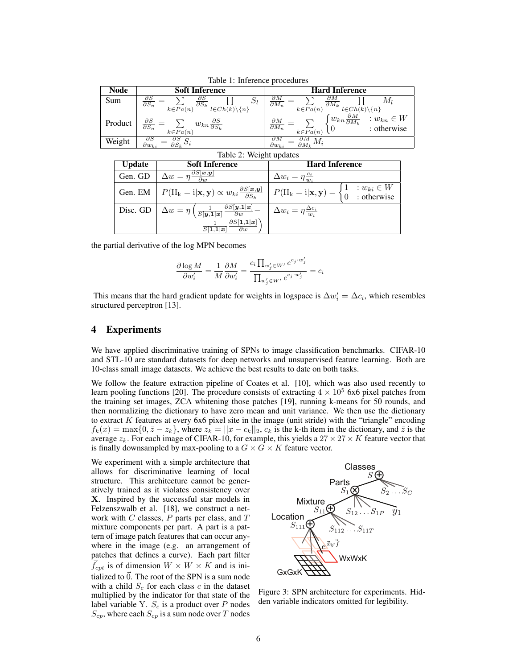| TAULT 1. INITIATIVE PROCEDULES |                                                                                                                                                       |                                                                                                                                                           |  |  |  |  |  |  |
|--------------------------------|-------------------------------------------------------------------------------------------------------------------------------------------------------|-----------------------------------------------------------------------------------------------------------------------------------------------------------|--|--|--|--|--|--|
| <b>Node</b>                    | <b>Soft Inference</b>                                                                                                                                 | <b>Hard Inference</b>                                                                                                                                     |  |  |  |  |  |  |
| Sum                            | $\partial S$<br>дS<br>$\mathcal{S}_l$<br>$\partial S_n$<br>$\overline{\partial S_k}$<br>$k \in \overline{Pa}(n)$<br>$l\in Ch(\vec{k})\backslash\{n\}$ | $\partial M$<br>$\partial M$<br>IVI 1<br>$\overline{\partial M_k}$<br>$\overline{\partial M_n}$<br>$k\in \overline{Pa}(n)$<br>$l\in Ch(k)\backslash\{n\}$ |  |  |  |  |  |  |
| Product                        | $\frac{\partial S}{\partial S_n} =$<br>$w_{kn} \frac{\partial S}{\partial S_k}$<br>$k \in \overline{Pa}(n)$                                           | $\tau_{w_{kn}\frac{\partial M}{\partial M_k}}$<br>: $w_{kn} \in W$<br>: otherwise<br>$\frac{\partial M}{\partial M_n}$<br>$k\in Pa(n)$                    |  |  |  |  |  |  |
| Weight                         | oς<br>$\partial w_{ki}$<br>$\partial S\iota$                                                                                                          | дΜ<br>$M_i$<br>$\partial M_{\nu}$<br>$\partial w_{ki}$                                                                                                    |  |  |  |  |  |  |

Table 1: Inference procedures

#### Table 2: Weight updates

| <b>Update</b> | <b>Soft Inference</b>                                                                                                               | <b>Hard Inference</b>                                                                                          |  |  |  |  |
|---------------|-------------------------------------------------------------------------------------------------------------------------------------|----------------------------------------------------------------------------------------------------------------|--|--|--|--|
| Gen. GD       | $\Delta w = \eta \frac{\partial S[\mathbf{x}, \mathbf{y}]}{\partial w}$                                                             | $\Delta w_i = \eta \frac{c_i}{w_i}$                                                                            |  |  |  |  |
|               | Gen. EM $\mid P(H_k = i   \mathbf{x}, \mathbf{y}) \propto w_{ki} \frac{\partial S[\mathbf{x}, \mathbf{y}]}{\partial S_{ki}}$        | $P(H_k = i   \mathbf{x}, \mathbf{y}) = \begin{cases} 1 & : w_{ki} \in W \\ 0 & : \text{otherwise} \end{cases}$ |  |  |  |  |
|               | Disc. GD $\Delta w = \eta \left( \frac{1}{S[\mathbf{y},1]\mathbf{x}} \frac{\partial S[\mathbf{y},1]\mathbf{x}}{\partial w} \right)$ | $\Delta w_i = \eta \frac{\Delta c_i}{w_i}$                                                                     |  |  |  |  |
|               | $\partial S[\mathbf{1},\mathbf{1} \boldsymbol{x}]$<br>$\overline{S[1,1]}x$<br>$\partial w$                                          |                                                                                                                |  |  |  |  |

the partial derivative of the log MPN becomes

$$
\frac{\partial \log M}{\partial w'_i} = \frac{1}{M} \frac{\partial M}{\partial w'_i} = \frac{c_i \prod_{w'_j \in W'} e^{c_j \cdot w'_j}}{\prod_{w'_j \in W'} e^{c_j \cdot w'_j}} = c_i
$$

This means that the hard gradient update for weights in logspace is  $\Delta w_i' = \Delta c_i$ , which resembles structured perceptron [13].

## 4 Experiments

We have applied discriminative training of SPNs to image classification benchmarks. CIFAR-10 and STL-10 are standard datasets for deep networks and unsupervised feature learning. Both are 10-class small image datasets. We achieve the best results to date on both tasks.

We follow the feature extraction pipeline of Coates et al. [10], which was also used recently to learn pooling functions [20]. The procedure consists of extracting  $4 \times 10^5$  6x6 pixel patches from the training set images, ZCA whitening those patches [19], running k-means for 50 rounds, and then normalizing the dictionary to have zero mean and unit variance. We then use the dictionary to extract  $K$  features at every 6x6 pixel site in the image (unit stride) with the "triangle" encoding  $f_k(x) = \max\{0, \bar{z} - z_k\}$ , where  $z_k = ||x - c_k||_2$ ,  $c_k$  is the k-th item in the dictionary, and  $\bar{z}$  is the average  $z_k$ . For each image of CIFAR-10, for example, this yields a  $27 \times 27 \times K$  feature vector that is finally downsampled by max-pooling to a  $G \times G \times K$  feature vector.

We experiment with a simple architecture that allows for discriminative learning of local structure. This architecture cannot be generatively trained as it violates consistency over X. Inspired by the successful star models in Felzenszwalb et al. [18], we construct a network with  $C$  classes,  $P$  parts per class, and  $T$ mixture components per part. A part is a pattern of image patch features that can occur anywhere in the image (e.g. an arrangement of patches that defines a curve). Each part filter  $f_{cpt}$  is of dimension  $W \times W \times K$  and is initialized to  $\vec{0}$ . The root of the SPN is a sum node with a child  $S_c$  for each class c in the dataset multiplied by the indicator for that state of the label variable Y.  $S_c$  is a product over P nodes  $S_{cp}$ , where each  $S_{cp}$  is a sum node over T nodes



Figure 3: SPN architecture for experiments. Hidden variable indicators omitted for legibility.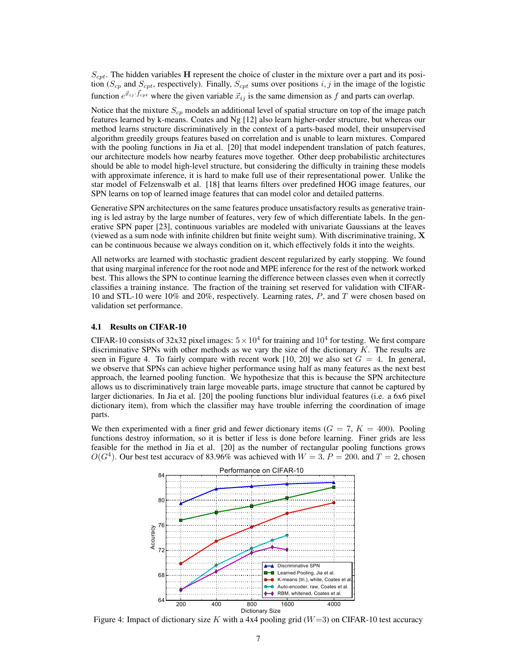$S_{cpt}$ . The hidden variables H represent the choice of cluster in the mixture over a part and its position ( $S_{cp}$  and  $S_{cpt}$ , respectively). Finally,  $S_{cpt}$  sums over positions i, j in the image of the logistic function  $e^{\vec{x}_{ij} \cdot \vec{f}_{cpt}}$  where the given variable  $\vec{x}_{ij}$  is the same dimension as f and parts can overlap.

Notice that the mixture  $S_{cp}$  models an additional level of spatial structure on top of the image patch features learned by k-means. Coates and Ng [12] also learn higher-order structure, but whereas our method learns structure discriminatively in the context of a parts-based model, their unsupervised algorithm greedily groups features based on correlation and is unable to learn mixtures. Compared with the pooling functions in Jia et al. [20] that model independent translation of patch features, our architecture models how nearby features move together. Other deep probabilistic architectures should be able to model high-level structure, but considering the difficulty in training these models with approximate inference, it is hard to make full use of their representational power. Unlike the star model of Felzenswalb et al. [18] that learns filters over predefined HOG image features, our SPN learns on top of learned image features that can model color and detailed patterns.

Generative SPN architectures on the same features produce unsatisfactory results as generative training is led astray by the large number of features, very few of which differentiate labels. In the generative SPN paper [23], continuous variables are modeled with univariate Gaussians at the leaves (viewed as a sum node with infinite children but finite weight sum). With discriminative training,  $\bf{X}$ can be continuous because we always condition on it, which effectively folds it into the weights.

All networks are learned with stochastic gradient descent regularized by early stopping. We found that using marginal inference for the root node and MPE inference for the rest of the network worked best. This allows the SPN to continue learning the difference between classes even when it correctly classifies a training instance. The fraction of the training set reserved for validation with CIFAR-10 and STL-10 were 10% and 20%, respectively. Learning rates, P, and T were chosen based on validation set performance.

#### 4.1 Results on CIFAR-10

CIFAR-10 consists of 32x32 pixel images:  $5 \times 10^4$  for training and  $10^4$  for testing. We first compare discriminative SPNs with other methods as we vary the size of the dictionary  $K$ . The results are seen in Figure 4. To fairly compare with recent work [10, 20] we also set  $G = 4$ . In general, we observe that SPNs can achieve higher performance using half as many features as the next best approach, the learned pooling function. We hypothesize that this is because the SPN architecture allows us to discriminatively train large moveable parts, image structure that cannot be captured by larger dictionaries. In Jia et al. [20] the pooling functions blur individual features (i.e. a 6x6 pixel dictionary item), from which the classifier may have trouble inferring the coordination of image parts.

We then experimented with a finer grid and fewer dictionary items  $(G = 7, K = 400)$ . Pooling functions destroy information, so it is better if less is done before learning. Finer grids are less feasible for the method in Jia et al. [20] as the number of rectangular pooling functions grows  $O(G<sup>4</sup>)$ . Our best test accuracy of 83.96% was achieved with  $W = 3$ ,  $P = 200$ , and  $T = 2$ , chosen



Figure 4: Impact of dictionary size K with a 4x4 pooling grid ( $W=3$ ) on CIFAR-10 test accuracy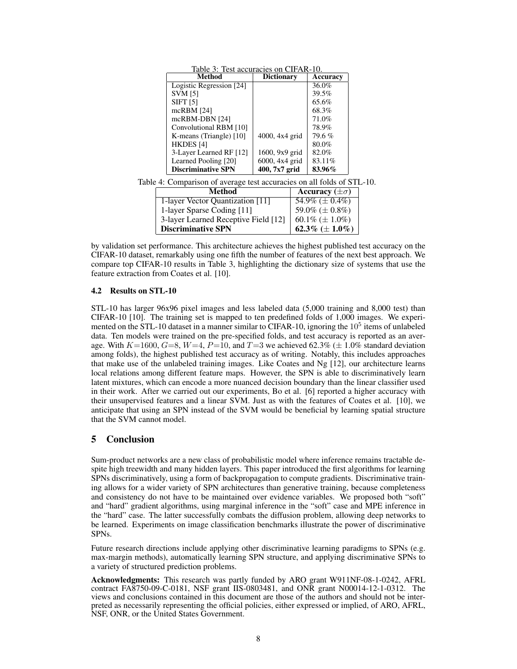| Table 3: Test accuracies on CIFAR-10.                                  |                   |                         |                      |  |
|------------------------------------------------------------------------|-------------------|-------------------------|----------------------|--|
| Method                                                                 | <b>Dictionary</b> |                         | Accuracy             |  |
| Logistic Regression [24]                                               |                   |                         | 36.0%                |  |
| <b>SVM [5]</b>                                                         |                   |                         | 39.5%                |  |
| <b>SIFT</b> [5]                                                        |                   |                         | 65.6%                |  |
| mcRBM $[24]$                                                           |                   |                         | 68.3%                |  |
| mcRBM-DBN [24]                                                         |                   |                         | 71.0%                |  |
| Convolutional RBM [10]                                                 |                   |                         | 78.9%                |  |
| K-means (Triangle) [10]                                                | 4000, 4x4 grid    |                         | 79.6%                |  |
| HKDES [4]                                                              |                   |                         | $80.0\%$             |  |
| 3-Layer Learned RF [12]                                                | 1600, 9x9 grid    |                         | 82.0%                |  |
| Learned Pooling [20]                                                   | 6000, 4x4 grid    |                         | 83.11%               |  |
| <b>Discriminative SPN</b>                                              | 400, 7x7 grid     |                         | 83.96%               |  |
| Table 4: Comparison of average test accuracies on all folds of STL-10. |                   |                         |                      |  |
| <b>Method</b>                                                          |                   | Accuracy $(\pm \sigma)$ |                      |  |
| 1-layer Vector Quantization [11]                                       |                   | 54.9% ( $\pm$ 0.4%)     |                      |  |
| 1-layer Sparse Coding [11]                                             |                   |                         | 59.0% ( $\pm$ 0.8%)  |  |
| 3-layer Learned Receptive Field [12]                                   |                   |                         | 60.1\% $(\pm 1.0\%)$ |  |

by validation set performance. This architecture achieves the highest published test accuracy on the CIFAR-10 dataset, remarkably using one fifth the number of features of the next best approach. We compare top CIFAR-10 results in Table 3, highlighting the dictionary size of systems that use the feature extraction from Coates et al. [10].

Discriminative SPN  $\vert$  62.3% ( $\pm$  1.0%)

## 4.2 Results on STL-10

STL-10 has larger 96x96 pixel images and less labeled data (5,000 training and 8,000 test) than CIFAR-10 [10]. The training set is mapped to ten predefined folds of 1,000 images. We experimented on the STL-10 dataset in a manner similar to CIFAR-10, ignoring the  $10<sup>5</sup>$  items of unlabeled data. Ten models were trained on the pre-specified folds, and test accuracy is reported as an average. With  $K=1600$ ,  $G=8$ ,  $W=4$ ,  $P=10$ , and  $T=3$  we achieved 62.3% ( $\pm$  1.0% standard deviation among folds), the highest published test accuracy as of writing. Notably, this includes approaches that make use of the unlabeled training images. Like Coates and  $Ng$  [12], our architecture learns local relations among different feature maps. However, the SPN is able to discriminatively learn latent mixtures, which can encode a more nuanced decision boundary than the linear classifier used in their work. After we carried out our experiments, Bo et al. [6] reported a higher accuracy with their unsupervised features and a linear SVM. Just as with the features of Coates et al. [10], we anticipate that using an SPN instead of the SVM would be beneficial by learning spatial structure that the SVM cannot model.

# 5 Conclusion

Sum-product networks are a new class of probabilistic model where inference remains tractable despite high treewidth and many hidden layers. This paper introduced the first algorithms for learning SPNs discriminatively, using a form of backpropagation to compute gradients. Discriminative training allows for a wider variety of SPN architectures than generative training, because completeness and consistency do not have to be maintained over evidence variables. We proposed both "soft" and "hard" gradient algorithms, using marginal inference in the "soft" case and MPE inference in the "hard" case. The latter successfully combats the diffusion problem, allowing deep networks to be learned. Experiments on image classification benchmarks illustrate the power of discriminative SPNs.

Future research directions include applying other discriminative learning paradigms to SPNs (e.g. max-margin methods), automatically learning SPN structure, and applying discriminative SPNs to a variety of structured prediction problems.

Acknowledgments: This research was partly funded by ARO grant W911NF-08-1-0242, AFRL contract FA8750-09-C-0181, NSF grant IIS-0803481, and ONR grant N00014-12-1-0312. The views and conclusions contained in this document are those of the authors and should not be interpreted as necessarily representing the official policies, either expressed or implied, of ARO, AFRL, NSF, ONR, or the United States Government.